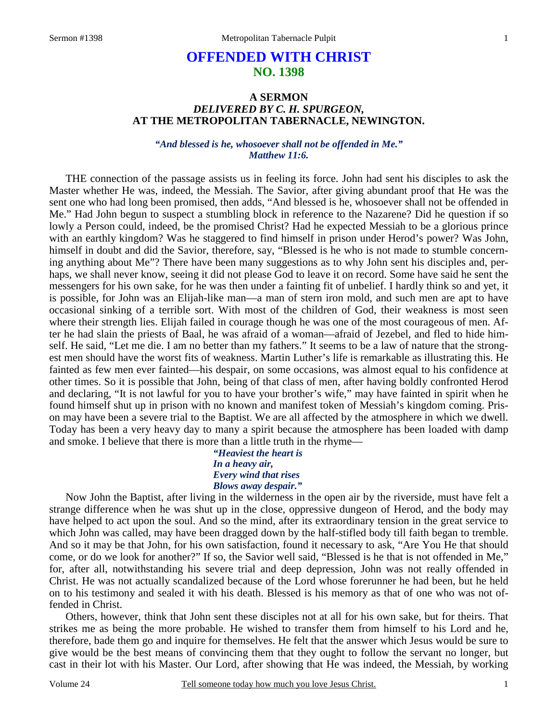# **OFFENDED WITH CHRIST NO. 1398**

## **A SERMON**  *DELIVERED BY C. H. SPURGEON,*  **AT THE METROPOLITAN TABERNACLE, NEWINGTON.**

### *"And blessed is he, whosoever shall not be offended in Me." Matthew 11:6.*

THE connection of the passage assists us in feeling its force. John had sent his disciples to ask the Master whether He was, indeed, the Messiah. The Savior, after giving abundant proof that He was the sent one who had long been promised, then adds, "And blessed is he, whosoever shall not be offended in Me." Had John begun to suspect a stumbling block in reference to the Nazarene? Did he question if so lowly a Person could, indeed, be the promised Christ? Had he expected Messiah to be a glorious prince with an earthly kingdom? Was he staggered to find himself in prison under Herod's power? Was John, himself in doubt and did the Savior, therefore, say, "Blessed is he who is not made to stumble concerning anything about Me"? There have been many suggestions as to why John sent his disciples and, perhaps, we shall never know, seeing it did not please God to leave it on record. Some have said he sent the messengers for his own sake, for he was then under a fainting fit of unbelief. I hardly think so and yet, it is possible, for John was an Elijah-like man—a man of stern iron mold, and such men are apt to have occasional sinking of a terrible sort. With most of the children of God, their weakness is most seen where their strength lies. Elijah failed in courage though he was one of the most courageous of men. After he had slain the priests of Baal, he was afraid of a woman—afraid of Jezebel, and fled to hide himself. He said, "Let me die. I am no better than my fathers." It seems to be a law of nature that the strongest men should have the worst fits of weakness. Martin Luther's life is remarkable as illustrating this. He fainted as few men ever fainted—his despair, on some occasions, was almost equal to his confidence at other times. So it is possible that John, being of that class of men, after having boldly confronted Herod and declaring, "It is not lawful for you to have your brother's wife," may have fainted in spirit when he found himself shut up in prison with no known and manifest token of Messiah's kingdom coming. Prison may have been a severe trial to the Baptist. We are all affected by the atmosphere in which we dwell. Today has been a very heavy day to many a spirit because the atmosphere has been loaded with damp and smoke. I believe that there is more than a little truth in the rhyme—

### *"Heaviest the heart is In a heavy air, Every wind that rises Blows away despair."*

Now John the Baptist, after living in the wilderness in the open air by the riverside, must have felt a strange difference when he was shut up in the close, oppressive dungeon of Herod, and the body may have helped to act upon the soul. And so the mind, after its extraordinary tension in the great service to which John was called, may have been dragged down by the half-stifled body till faith began to tremble. And so it may be that John, for his own satisfaction, found it necessary to ask, "Are You He that should come, or do we look for another?" If so, the Savior well said, "Blessed is he that is not offended in Me," for, after all, notwithstanding his severe trial and deep depression, John was not really offended in Christ. He was not actually scandalized because of the Lord whose forerunner he had been, but he held on to his testimony and sealed it with his death. Blessed is his memory as that of one who was not offended in Christ.

Others, however, think that John sent these disciples not at all for his own sake, but for theirs. That strikes me as being the more probable. He wished to transfer them from himself to his Lord and he, therefore, bade them go and inquire for themselves. He felt that the answer which Jesus would be sure to give would be the best means of convincing them that they ought to follow the servant no longer, but cast in their lot with his Master. Our Lord, after showing that He was indeed, the Messiah, by working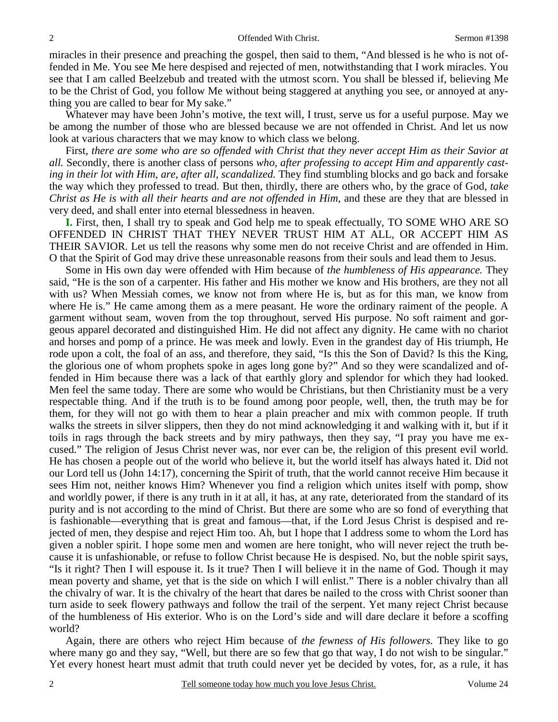miracles in their presence and preaching the gospel, then said to them, "And blessed is he who is not offended in Me. You see Me here despised and rejected of men, notwithstanding that I work miracles. You see that I am called Beelzebub and treated with the utmost scorn. You shall be blessed if, believing Me to be the Christ of God, you follow Me without being staggered at anything you see, or annoyed at anything you are called to bear for My sake."

Whatever may have been John's motive, the text will, I trust, serve us for a useful purpose. May we be among the number of those who are blessed because we are not offended in Christ. And let us now look at various characters that we may know to which class we belong.

First, *there are some who are so offended with Christ that they never accept Him as their Savior at all.* Secondly, there is another class of persons *who, after professing to accept Him and apparently casting in their lot with Him, are, after all, scandalized.* They find stumbling blocks and go back and forsake the way which they professed to tread. But then, thirdly, there are others who, by the grace of God, *take Christ as He is with all their hearts and are not offended in Him,* and these are they that are blessed in very deed, and shall enter into eternal blessedness in heaven.

**I.** First, then, I shall try to speak and God help me to speak effectually, TO SOME WHO ARE SO OFFENDED IN CHRIST THAT THEY NEVER TRUST HIM AT ALL, OR ACCEPT HIM AS THEIR SAVIOR. Let us tell the reasons why some men do not receive Christ and are offended in Him. O that the Spirit of God may drive these unreasonable reasons from their souls and lead them to Jesus.

Some in His own day were offended with Him because of *the humbleness of His appearance.* They said, "He is the son of a carpenter. His father and His mother we know and His brothers, are they not all with us? When Messiah comes, we know not from where He is, but as for this man, we know from where He is." He came among them as a mere peasant. He wore the ordinary raiment of the people. A garment without seam, woven from the top throughout, served His purpose. No soft raiment and gorgeous apparel decorated and distinguished Him. He did not affect any dignity. He came with no chariot and horses and pomp of a prince. He was meek and lowly. Even in the grandest day of His triumph, He rode upon a colt, the foal of an ass, and therefore, they said, "Is this the Son of David? Is this the King, the glorious one of whom prophets spoke in ages long gone by?" And so they were scandalized and offended in Him because there was a lack of that earthly glory and splendor for which they had looked. Men feel the same today. There are some who would be Christians, but then Christianity must be a very respectable thing. And if the truth is to be found among poor people, well, then, the truth may be for them, for they will not go with them to hear a plain preacher and mix with common people. If truth walks the streets in silver slippers, then they do not mind acknowledging it and walking with it, but if it toils in rags through the back streets and by miry pathways, then they say, "I pray you have me excused." The religion of Jesus Christ never was, nor ever can be, the religion of this present evil world. He has chosen a people out of the world who believe it, but the world itself has always hated it. Did not our Lord tell us (John 14:17), concerning the Spirit of truth, that the world cannot receive Him because it sees Him not, neither knows Him? Whenever you find a religion which unites itself with pomp, show and worldly power, if there is any truth in it at all, it has, at any rate, deteriorated from the standard of its purity and is not according to the mind of Christ. But there are some who are so fond of everything that is fashionable—everything that is great and famous—that, if the Lord Jesus Christ is despised and rejected of men, they despise and reject Him too. Ah, but I hope that I address some to whom the Lord has given a nobler spirit. I hope some men and women are here tonight, who will never reject the truth because it is unfashionable, or refuse to follow Christ because He is despised. No, but the noble spirit says, "Is it right? Then I will espouse it. Is it true? Then I will believe it in the name of God. Though it may mean poverty and shame, yet that is the side on which I will enlist." There is a nobler chivalry than all the chivalry of war. It is the chivalry of the heart that dares be nailed to the cross with Christ sooner than turn aside to seek flowery pathways and follow the trail of the serpent. Yet many reject Christ because of the humbleness of His exterior. Who is on the Lord's side and will dare declare it before a scoffing world?

Again, there are others who reject Him because of *the fewness of His followers.* They like to go where many go and they say, "Well, but there are so few that go that way, I do not wish to be singular." Yet every honest heart must admit that truth could never yet be decided by votes, for, as a rule, it has

2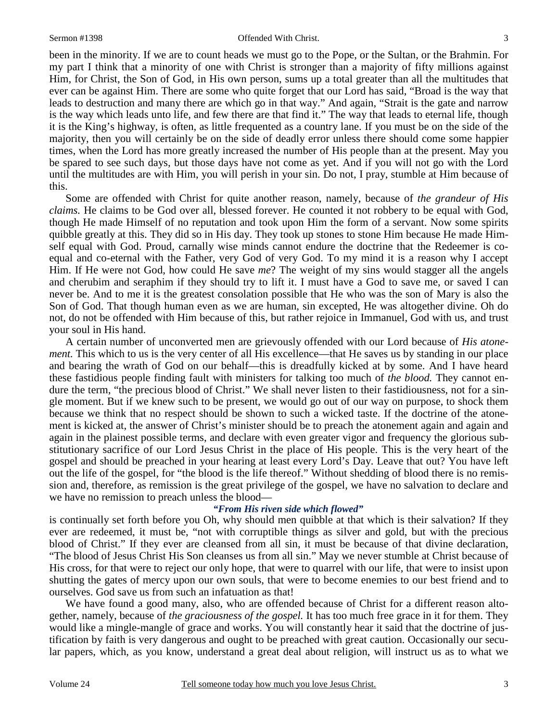been in the minority. If we are to count heads we must go to the Pope, or the Sultan, or the Brahmin. For my part I think that a minority of one with Christ is stronger than a majority of fifty millions against Him, for Christ, the Son of God, in His own person, sums up a total greater than all the multitudes that ever can be against Him. There are some who quite forget that our Lord has said, "Broad is the way that leads to destruction and many there are which go in that way." And again, "Strait is the gate and narrow is the way which leads unto life, and few there are that find it." The way that leads to eternal life, though it is the King's highway, is often, as little frequented as a country lane. If you must be on the side of the majority, then you will certainly be on the side of deadly error unless there should come some happier times, when the Lord has more greatly increased the number of His people than at the present. May you be spared to see such days, but those days have not come as yet. And if you will not go with the Lord until the multitudes are with Him, you will perish in your sin. Do not, I pray, stumble at Him because of this.

Some are offended with Christ for quite another reason, namely, because of *the grandeur of His claims.* He claims to be God over all, blessed forever. He counted it not robbery to be equal with God, though He made Himself of no reputation and took upon Him the form of a servant. Now some spirits quibble greatly at this. They did so in His day. They took up stones to stone Him because He made Himself equal with God. Proud, carnally wise minds cannot endure the doctrine that the Redeemer is coequal and co-eternal with the Father, very God of very God. To my mind it is a reason why I accept Him. If He were not God, how could He save *me*? The weight of my sins would stagger all the angels and cherubim and seraphim if they should try to lift it. I must have a God to save me, or saved I can never be. And to me it is the greatest consolation possible that He who was the son of Mary is also the Son of God. That though human even as we are human, sin excepted, He was altogether divine. Oh do not, do not be offended with Him because of this, but rather rejoice in Immanuel, God with us, and trust your soul in His hand.

A certain number of unconverted men are grievously offended with our Lord because of *His atonement.* This which to us is the very center of all His excellence—that He saves us by standing in our place and bearing the wrath of God on our behalf—this is dreadfully kicked at by some. And I have heard these fastidious people finding fault with ministers for talking too much of *the blood.* They cannot endure the term, "the precious blood of Christ." We shall never listen to their fastidiousness, not for a single moment. But if we knew such to be present, we would go out of our way on purpose, to shock them because we think that no respect should be shown to such a wicked taste. If the doctrine of the atonement is kicked at, the answer of Christ's minister should be to preach the atonement again and again and again in the plainest possible terms, and declare with even greater vigor and frequency the glorious substitutionary sacrifice of our Lord Jesus Christ in the place of His people. This is the very heart of the gospel and should be preached in your hearing at least every Lord's Day. Leave that out? You have left out the life of the gospel, for "the blood is the life thereof." Without shedding of blood there is no remission and, therefore, as remission is the great privilege of the gospel, we have no salvation to declare and we have no remission to preach unless the blood—

### *"From His riven side which flowed"*

is continually set forth before you Oh, why should men quibble at that which is their salvation? If they ever are redeemed, it must be, "not with corruptible things as silver and gold, but with the precious blood of Christ." If they ever are cleansed from all sin, it must be because of that divine declaration, "The blood of Jesus Christ His Son cleanses us from all sin." May we never stumble at Christ because of His cross, for that were to reject our only hope, that were to quarrel with our life, that were to insist upon shutting the gates of mercy upon our own souls, that were to become enemies to our best friend and to ourselves. God save us from such an infatuation as that!

We have found a good many, also, who are offended because of Christ for a different reason altogether, namely, because of *the graciousness of the gospel.* It has too much free grace in it for them. They would like a mingle-mangle of grace and works. You will constantly hear it said that the doctrine of justification by faith is very dangerous and ought to be preached with great caution. Occasionally our secular papers, which, as you know, understand a great deal about religion, will instruct us as to what we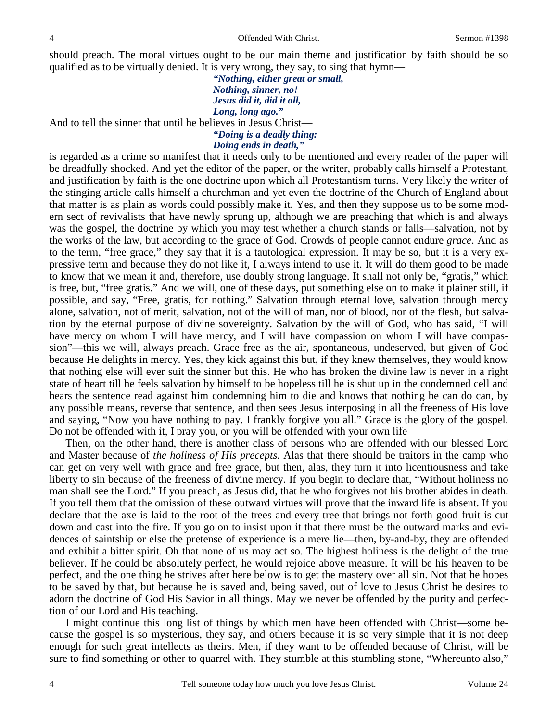should preach. The moral virtues ought to be our main theme and justification by faith should be so qualified as to be virtually denied. It is very wrong, they say, to sing that hymn—

> *"Nothing, either great or small, Nothing, sinner, no! Jesus did it, did it all, Long, long ago."*

And to tell the sinner that until he believes in Jesus Christ—

## *"Doing is a deadly thing:*

# *Doing ends in death,"*

is regarded as a crime so manifest that it needs only to be mentioned and every reader of the paper will be dreadfully shocked. And yet the editor of the paper, or the writer, probably calls himself a Protestant, and justification by faith is the one doctrine upon which all Protestantism turns. Very likely the writer of the stinging article calls himself a churchman and yet even the doctrine of the Church of England about that matter is as plain as words could possibly make it. Yes, and then they suppose us to be some modern sect of revivalists that have newly sprung up, although we are preaching that which is and always was the gospel, the doctrine by which you may test whether a church stands or falls—salvation, not by the works of the law, but according to the grace of God. Crowds of people cannot endure *grace*. And as to the term, "free grace," they say that it is a tautological expression. It may be so, but it is a very expressive term and because they do not like it, I always intend to use it. It will do them good to be made to know that we mean it and, therefore, use doubly strong language. It shall not only be, "gratis," which is free, but, "free gratis." And we will, one of these days, put something else on to make it plainer still, if possible, and say, "Free, gratis, for nothing." Salvation through eternal love, salvation through mercy alone, salvation, not of merit, salvation, not of the will of man, nor of blood, nor of the flesh, but salvation by the eternal purpose of divine sovereignty. Salvation by the will of God, who has said, "I will have mercy on whom I will have mercy, and I will have compassion on whom I will have compassion"—this we will, always preach. Grace free as the air, spontaneous, undeserved, but given of God because He delights in mercy. Yes, they kick against this but, if they knew themselves, they would know that nothing else will ever suit the sinner but this. He who has broken the divine law is never in a right state of heart till he feels salvation by himself to be hopeless till he is shut up in the condemned cell and hears the sentence read against him condemning him to die and knows that nothing he can do can, by any possible means, reverse that sentence, and then sees Jesus interposing in all the freeness of His love and saying, "Now you have nothing to pay. I frankly forgive you all." Grace is the glory of the gospel. Do not be offended with it, I pray you, or you will be offended with your own life

Then, on the other hand, there is another class of persons who are offended with our blessed Lord and Master because of *the holiness of His precepts.* Alas that there should be traitors in the camp who can get on very well with grace and free grace, but then, alas, they turn it into licentiousness and take liberty to sin because of the freeness of divine mercy. If you begin to declare that, "Without holiness no man shall see the Lord." If you preach, as Jesus did, that he who forgives not his brother abides in death. If you tell them that the omission of these outward virtues will prove that the inward life is absent. If you declare that the axe is laid to the root of the trees and every tree that brings not forth good fruit is cut down and cast into the fire. If you go on to insist upon it that there must be the outward marks and evidences of saintship or else the pretense of experience is a mere lie—then, by-and-by, they are offended and exhibit a bitter spirit. Oh that none of us may act so. The highest holiness is the delight of the true believer. If he could be absolutely perfect, he would rejoice above measure. It will be his heaven to be perfect, and the one thing he strives after here below is to get the mastery over all sin. Not that he hopes to be saved by that, but because he is saved and, being saved, out of love to Jesus Christ he desires to adorn the doctrine of God His Savior in all things. May we never be offended by the purity and perfection of our Lord and His teaching.

I might continue this long list of things by which men have been offended with Christ—some because the gospel is so mysterious, they say, and others because it is so very simple that it is not deep enough for such great intellects as theirs. Men, if they want to be offended because of Christ, will be sure to find something or other to quarrel with. They stumble at this stumbling stone, "Whereunto also,"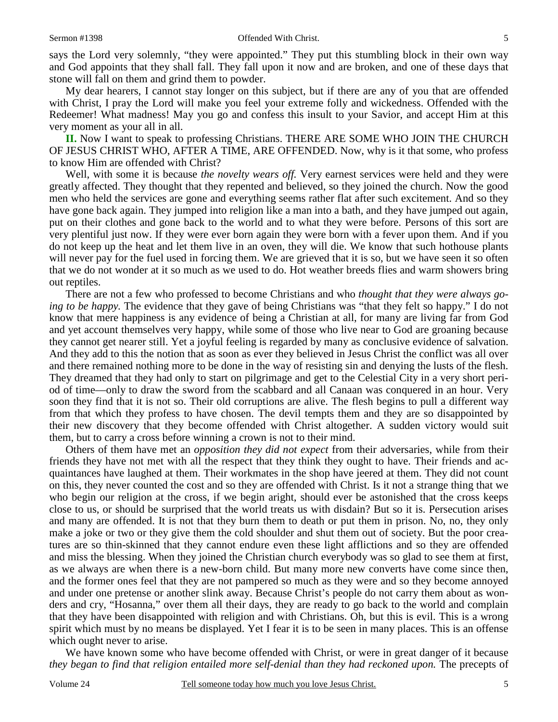says the Lord very solemnly, "they were appointed." They put this stumbling block in their own way and God appoints that they shall fall. They fall upon it now and are broken, and one of these days that stone will fall on them and grind them to powder.

My dear hearers, I cannot stay longer on this subject, but if there are any of you that are offended with Christ, I pray the Lord will make you feel your extreme folly and wickedness. Offended with the Redeemer! What madness! May you go and confess this insult to your Savior, and accept Him at this very moment as your all in all.

**II.** Now I want to speak to professing Christians. THERE ARE SOME WHO JOIN THE CHURCH OF JESUS CHRIST WHO, AFTER A TIME, ARE OFFENDED. Now, why is it that some, who profess to know Him are offended with Christ?

Well, with some it is because *the novelty wears off.* Very earnest services were held and they were greatly affected. They thought that they repented and believed, so they joined the church. Now the good men who held the services are gone and everything seems rather flat after such excitement. And so they have gone back again. They jumped into religion like a man into a bath, and they have jumped out again, put on their clothes and gone back to the world and to what they were before. Persons of this sort are very plentiful just now. If they were ever born again they were born with a fever upon them. And if you do not keep up the heat and let them live in an oven, they will die. We know that such hothouse plants will never pay for the fuel used in forcing them. We are grieved that it is so, but we have seen it so often that we do not wonder at it so much as we used to do. Hot weather breeds flies and warm showers bring out reptiles.

There are not a few who professed to become Christians and who *thought that they were always going to be happy.* The evidence that they gave of being Christians was "that they felt so happy." I do not know that mere happiness is any evidence of being a Christian at all, for many are living far from God and yet account themselves very happy, while some of those who live near to God are groaning because they cannot get nearer still. Yet a joyful feeling is regarded by many as conclusive evidence of salvation. And they add to this the notion that as soon as ever they believed in Jesus Christ the conflict was all over and there remained nothing more to be done in the way of resisting sin and denying the lusts of the flesh. They dreamed that they had only to start on pilgrimage and get to the Celestial City in a very short period of time—only to draw the sword from the scabbard and all Canaan was conquered in an hour. Very soon they find that it is not so. Their old corruptions are alive. The flesh begins to pull a different way from that which they profess to have chosen. The devil tempts them and they are so disappointed by their new discovery that they become offended with Christ altogether. A sudden victory would suit them, but to carry a cross before winning a crown is not to their mind.

Others of them have met an *opposition they did not expect* from their adversaries, while from their friends they have not met with all the respect that they think they ought to have. Their friends and acquaintances have laughed at them. Their workmates in the shop have jeered at them. They did not count on this, they never counted the cost and so they are offended with Christ. Is it not a strange thing that we who begin our religion at the cross, if we begin aright, should ever be astonished that the cross keeps close to us, or should be surprised that the world treats us with disdain? But so it is. Persecution arises and many are offended. It is not that they burn them to death or put them in prison. No, no, they only make a joke or two or they give them the cold shoulder and shut them out of society. But the poor creatures are so thin-skinned that they cannot endure even these light afflictions and so they are offended and miss the blessing. When they joined the Christian church everybody was so glad to see them at first, as we always are when there is a new-born child. But many more new converts have come since then, and the former ones feel that they are not pampered so much as they were and so they become annoyed and under one pretense or another slink away. Because Christ's people do not carry them about as wonders and cry, "Hosanna," over them all their days, they are ready to go back to the world and complain that they have been disappointed with religion and with Christians. Oh, but this is evil. This is a wrong spirit which must by no means be displayed. Yet I fear it is to be seen in many places. This is an offense which ought never to arise.

We have known some who have become offended with Christ, or were in great danger of it because *they began to find that religion entailed more self-denial than they had reckoned upon.* The precepts of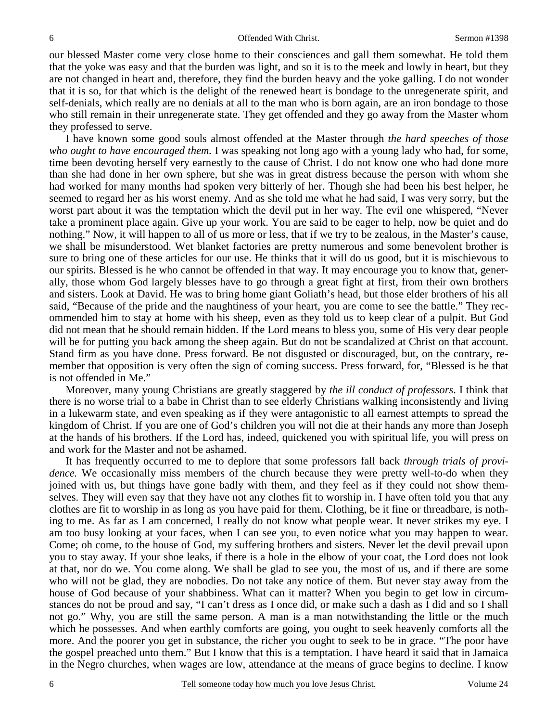our blessed Master come very close home to their consciences and gall them somewhat. He told them that the yoke was easy and that the burden was light, and so it is to the meek and lowly in heart, but they are not changed in heart and, therefore, they find the burden heavy and the yoke galling. I do not wonder that it is so, for that which is the delight of the renewed heart is bondage to the unregenerate spirit, and self-denials, which really are no denials at all to the man who is born again, are an iron bondage to those who still remain in their unregenerate state. They get offended and they go away from the Master whom they professed to serve.

I have known some good souls almost offended at the Master through *the hard speeches of those who ought to have encouraged them.* I was speaking not long ago with a young lady who had, for some, time been devoting herself very earnestly to the cause of Christ. I do not know one who had done more than she had done in her own sphere, but she was in great distress because the person with whom she had worked for many months had spoken very bitterly of her. Though she had been his best helper, he seemed to regard her as his worst enemy. And as she told me what he had said, I was very sorry, but the worst part about it was the temptation which the devil put in her way. The evil one whispered, "Never take a prominent place again. Give up your work. You are said to be eager to help, now be quiet and do nothing." Now, it will happen to all of us more or less, that if we try to be zealous, in the Master's cause, we shall be misunderstood. Wet blanket factories are pretty numerous and some benevolent brother is sure to bring one of these articles for our use. He thinks that it will do us good, but it is mischievous to our spirits. Blessed is he who cannot be offended in that way. It may encourage you to know that, generally, those whom God largely blesses have to go through a great fight at first, from their own brothers and sisters. Look at David. He was to bring home giant Goliath's head, but those elder brothers of his all said, "Because of the pride and the naughtiness of your heart, you are come to see the battle." They recommended him to stay at home with his sheep, even as they told us to keep clear of a pulpit. But God did not mean that he should remain hidden. If the Lord means to bless you, some of His very dear people will be for putting you back among the sheep again. But do not be scandalized at Christ on that account. Stand firm as you have done. Press forward. Be not disgusted or discouraged, but, on the contrary, remember that opposition is very often the sign of coming success. Press forward, for, "Blessed is he that is not offended in Me."

Moreover, many young Christians are greatly staggered by *the ill conduct of professors*. I think that there is no worse trial to a babe in Christ than to see elderly Christians walking inconsistently and living in a lukewarm state, and even speaking as if they were antagonistic to all earnest attempts to spread the kingdom of Christ. If you are one of God's children you will not die at their hands any more than Joseph at the hands of his brothers. If the Lord has, indeed, quickened you with spiritual life, you will press on and work for the Master and not be ashamed.

It has frequently occurred to me to deplore that some professors fall back *through trials of providence.* We occasionally miss members of the church because they were pretty well-to-do when they joined with us, but things have gone badly with them, and they feel as if they could not show themselves. They will even say that they have not any clothes fit to worship in. I have often told you that any clothes are fit to worship in as long as you have paid for them. Clothing, be it fine or threadbare, is nothing to me. As far as I am concerned, I really do not know what people wear. It never strikes my eye. I am too busy looking at your faces, when I can see you, to even notice what you may happen to wear. Come; oh come, to the house of God, my suffering brothers and sisters. Never let the devil prevail upon you to stay away. If your shoe leaks, if there is a hole in the elbow of your coat, the Lord does not look at that, nor do we. You come along. We shall be glad to see you, the most of us, and if there are some who will not be glad, they are nobodies. Do not take any notice of them. But never stay away from the house of God because of your shabbiness. What can it matter? When you begin to get low in circumstances do not be proud and say, "I can't dress as I once did, or make such a dash as I did and so I shall not go." Why, you are still the same person. A man is a man notwithstanding the little or the much which he possesses. And when earthly comforts are going, you ought to seek heavenly comforts all the more. And the poorer you get in substance, the richer you ought to seek to be in grace. "The poor have the gospel preached unto them." But I know that this is a temptation. I have heard it said that in Jamaica in the Negro churches, when wages are low, attendance at the means of grace begins to decline. I know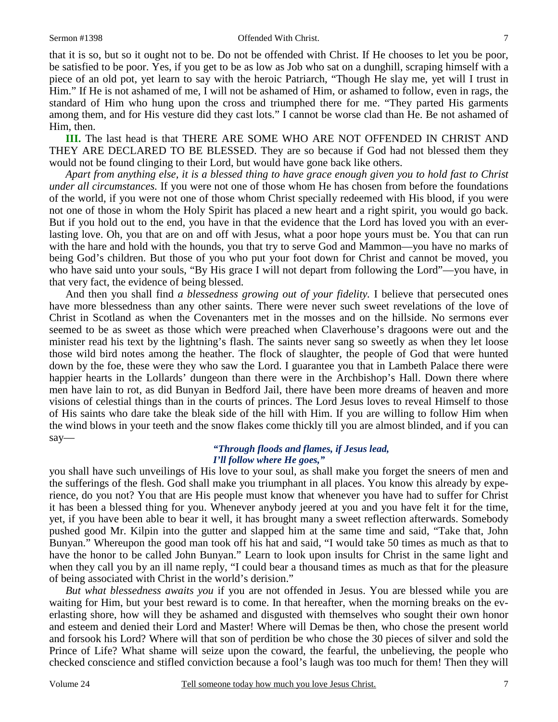that it is so, but so it ought not to be. Do not be offended with Christ. If He chooses to let you be poor, be satisfied to be poor. Yes, if you get to be as low as Job who sat on a dunghill, scraping himself with a piece of an old pot, yet learn to say with the heroic Patriarch, "Though He slay me, yet will I trust in Him." If He is not ashamed of me, I will not be ashamed of Him, or ashamed to follow, even in rags, the standard of Him who hung upon the cross and triumphed there for me. "They parted His garments among them, and for His vesture did they cast lots." I cannot be worse clad than He. Be not ashamed of Him, then.

**III.** The last head is that THERE ARE SOME WHO ARE NOT OFFENDED IN CHRIST AND THEY ARE DECLARED TO BE BLESSED. They are so because if God had not blessed them they would not be found clinging to their Lord, but would have gone back like others.

*Apart from anything else, it is a blessed thing to have grace enough given you to hold fast to Christ under all circumstances.* If you were not one of those whom He has chosen from before the foundations of the world, if you were not one of those whom Christ specially redeemed with His blood, if you were not one of those in whom the Holy Spirit has placed a new heart and a right spirit, you would go back. But if you hold out to the end, you have in that the evidence that the Lord has loved you with an everlasting love. Oh, you that are on and off with Jesus, what a poor hope yours must be. You that can run with the hare and hold with the hounds, you that try to serve God and Mammon—you have no marks of being God's children. But those of you who put your foot down for Christ and cannot be moved, you who have said unto your souls, "By His grace I will not depart from following the Lord"—you have, in that very fact, the evidence of being blessed.

And then you shall find *a blessedness growing out of your fidelity.* I believe that persecuted ones have more blessedness than any other saints. There were never such sweet revelations of the love of Christ in Scotland as when the Covenanters met in the mosses and on the hillside. No sermons ever seemed to be as sweet as those which were preached when Claverhouse's dragoons were out and the minister read his text by the lightning's flash. The saints never sang so sweetly as when they let loose those wild bird notes among the heather. The flock of slaughter, the people of God that were hunted down by the foe, these were they who saw the Lord. I guarantee you that in Lambeth Palace there were happier hearts in the Lollards' dungeon than there were in the Archbishop's Hall. Down there where men have lain to rot, as did Bunyan in Bedford Jail, there have been more dreams of heaven and more visions of celestial things than in the courts of princes. The Lord Jesus loves to reveal Himself to those of His saints who dare take the bleak side of the hill with Him. If you are willing to follow Him when the wind blows in your teeth and the snow flakes come thickly till you are almost blinded, and if you can say—

#### *"Through floods and flames, if Jesus lead, I'll follow where He goes,"*

you shall have such unveilings of His love to your soul, as shall make you forget the sneers of men and the sufferings of the flesh. God shall make you triumphant in all places. You know this already by experience, do you not? You that are His people must know that whenever you have had to suffer for Christ it has been a blessed thing for you. Whenever anybody jeered at you and you have felt it for the time, yet, if you have been able to bear it well, it has brought many a sweet reflection afterwards. Somebody pushed good Mr. Kilpin into the gutter and slapped him at the same time and said, "Take that, John Bunyan." Whereupon the good man took off his hat and said, "I would take 50 times as much as that to have the honor to be called John Bunyan." Learn to look upon insults for Christ in the same light and when they call you by an ill name reply, "I could bear a thousand times as much as that for the pleasure of being associated with Christ in the world's derision."

*But what blessedness awaits you* if you are not offended in Jesus. You are blessed while you are waiting for Him, but your best reward is to come. In that hereafter, when the morning breaks on the everlasting shore, how will they be ashamed and disgusted with themselves who sought their own honor and esteem and denied their Lord and Master! Where will Demas be then, who chose the present world and forsook his Lord? Where will that son of perdition be who chose the 30 pieces of silver and sold the Prince of Life? What shame will seize upon the coward, the fearful, the unbelieving, the people who checked conscience and stifled conviction because a fool's laugh was too much for them! Then they will